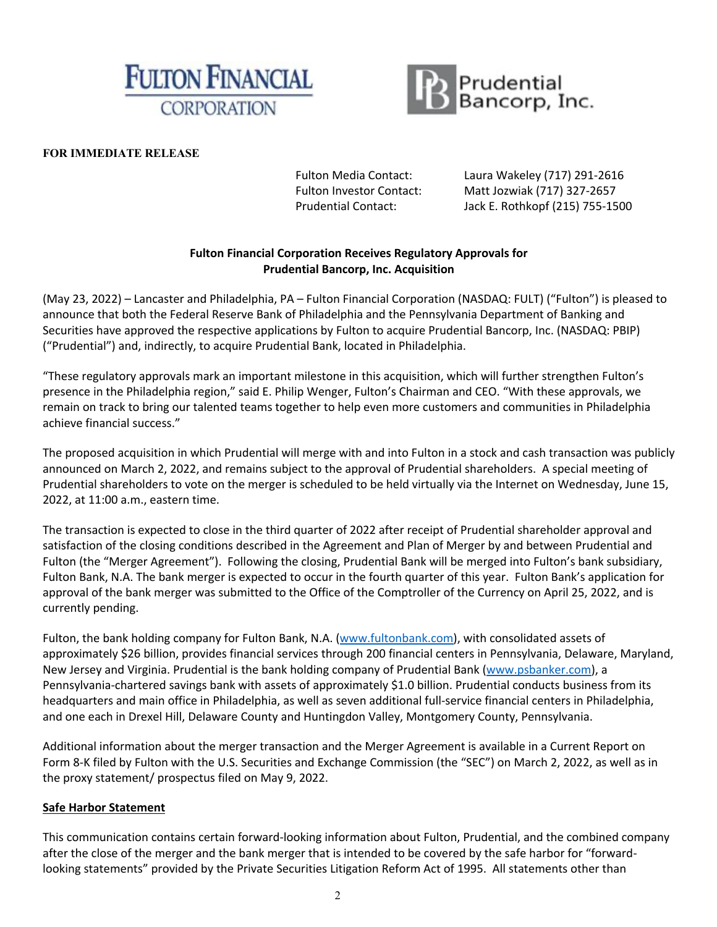



#### **FOR IMMEDIATE RELEASE**

Fulton Media Contact: Laura Wakeley (717) 291-2616 Fulton Investor Contact: Matt Jozwiak (717) 327-2657 Prudential Contact: Jack E. Rothkopf (215) 755-1500

# **Fulton Financial Corporation Receives Regulatory Approvals for Prudential Bancorp, Inc. Acquisition**

(May 23, 2022) – Lancaster and Philadelphia, PA – Fulton Financial Corporation (NASDAQ: FULT) ("Fulton") is pleased to announce that both the Federal Reserve Bank of Philadelphia and the Pennsylvania Department of Banking and Securities have approved the respective applications by Fulton to acquire Prudential Bancorp, Inc. (NASDAQ: PBIP) ("Prudential") and, indirectly, to acquire Prudential Bank, located in Philadelphia.

"These regulatory approvals mark an important milestone in this acquisition, which will further strengthen Fulton's presence in the Philadelphia region," said E. Philip Wenger, Fulton's Chairman and CEO. "With these approvals, we remain on track to bring our talented teams together to help even more customers and communities in Philadelphia achieve financial success."

The proposed acquisition in which Prudential will merge with and into Fulton in a stock and cash transaction was publicly announced on March 2, 2022, and remains subject to the approval of Prudential shareholders. A special meeting of Prudential shareholders to vote on the merger is scheduled to be held virtually via the Internet on Wednesday, June 15, 2022, at 11:00 a.m., eastern time.

The transaction is expected to close in the third quarter of 2022 after receipt of Prudential shareholder approval and satisfaction of the closing conditions described in the Agreement and Plan of Merger by and between Prudential and Fulton (the "Merger Agreement"). Following the closing, Prudential Bank will be merged into Fulton's bank subsidiary, Fulton Bank, N.A. The bank merger is expected to occur in the fourth quarter of this year. Fulton Bank's application for approval of the bank merger was submitted to the Office of the Comptroller of the Currency on April 25, 2022, and is currently pending.

Fulton, the bank holding company for Fulton Bank, N.A. (www.fultonbank.com), with consolidated assets of approximately \$26 billion, provides financial services through 200 financial centers in Pennsylvania, Delaware, Maryland, New Jersey and Virginia. Prudential is the bank holding company of Prudential Bank (www.psbanker.com), a Pennsylvania-chartered savings bank with assets of approximately \$1.0 billion. Prudential conducts business from its headquarters and main office in Philadelphia, as well as seven additional full-service financial centers in Philadelphia, and one each in Drexel Hill, Delaware County and Huntingdon Valley, Montgomery County, Pennsylvania.

Additional information about the merger transaction and the Merger Agreement is available in a Current Report on Form 8-K filed by Fulton with the U.S. Securities and Exchange Commission (the "SEC") on March 2, 2022, as well as in the proxy statement/ prospectus filed on May 9, 2022.

### **Safe Harbor Statement**

This communication contains certain forward-looking information about Fulton, Prudential, and the combined company after the close of the merger and the bank merger that is intended to be covered by the safe harbor for "forwardlooking statements" provided by the Private Securities Litigation Reform Act of 1995. All statements other than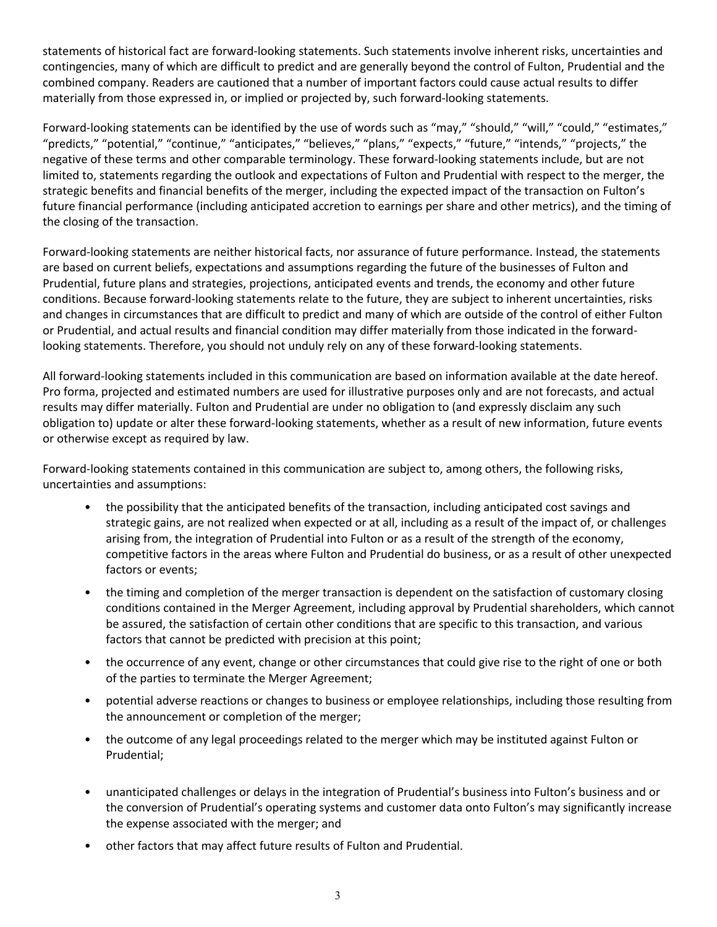statements of historical fact are forward-looking statements. Such statements involve inherent risks, uncertainties and contingencies, many of which are difficult to predict and are generally beyond the control of Fulton, Prudential and the combined company. Readers are cautioned that a number of important factors could cause actual results to differ materially from those expressed in, or implied or projected by, such forward-looking statements.

Forward-looking statements can be identified by the use of words such as "may," "should," "will," "could," "estimates," "predicts," "potential," "continue," "anticipates," "believes," "plans," "expects," "future," "intends," "projects," the negative of these terms and other comparable terminology. These forward-looking statements include, but are not limited to, statements regarding the outlook and expectations of Fulton and Prudential with respect to the merger, the strategic benefits and financial benefits of the merger, including the expected impact of the transaction on Fulton's future financial performance (including anticipated accretion to earnings per share and other metrics), and the timing of the closing of the transaction.

Forward-looking statements are neither historical facts, nor assurance of future performance. Instead, the statements are based on current beliefs, expectations and assumptions regarding the future of the businesses of Fulton and Prudential, future plans and strategies, projections, anticipated events and trends, the economy and other future conditions. Because forward-looking statements relate to the future, they are subject to inherent uncertainties, risks and changes in circumstances that are difficult to predict and many of which are outside of the control of either Fulton or Prudential, and actual results and financial condition may differ materially from those indicated in the forwardlooking statements. Therefore, you should not unduly rely on any of these forward-looking statements.

All forward-looking statements included in this communication are based on information available at the date hereof. Pro forma, projected and estimated numbers are used for illustrative purposes only and are not forecasts, and actual results may differ materially. Fulton and Prudential are under no obligation to (and expressly disclaim any such obligation to) update or alter these forward-looking statements, whether as a result of new information, future events or otherwise except as required by law.

Forward-looking statements contained in this communication are subject to, among others, the following risks, uncertainties and assumptions:

- the possibility that the anticipated benefits of the transaction, including anticipated cost savings and strategic gains, are not realized when expected or at all, including as a result of the impact of, or challenges arising from, the integration of Prudential into Fulton or as a result of the strength of the economy, competitive factors in the areas where Fulton and Prudential do business, or as a result of other unexpected factors or events;
- the timing and completion of the merger transaction is dependent on the satisfaction of customary closing conditions contained in the Merger Agreement, including approval by Prudential shareholders, which cannot be assured, the satisfaction of certain other conditions that are specific to this transaction, and various factors that cannot be predicted with precision at this point;
- the occurrence of any event, change or other circumstances that could give rise to the right of one or both of the parties to terminate the Merger Agreement;
- potential adverse reactions or changes to business or employee relationships, including those resulting from the announcement or completion of the merger;
- the outcome of any legal proceedings related to the merger which may be instituted against Fulton or Prudential;
- unanticipated challenges or delays in the integration of Prudential's business into Fulton's business and or the conversion of Prudential's operating systems and customer data onto Fulton's may significantly increase the expense associated with the merger; and
- other factors that may affect future results of Fulton and Prudential.